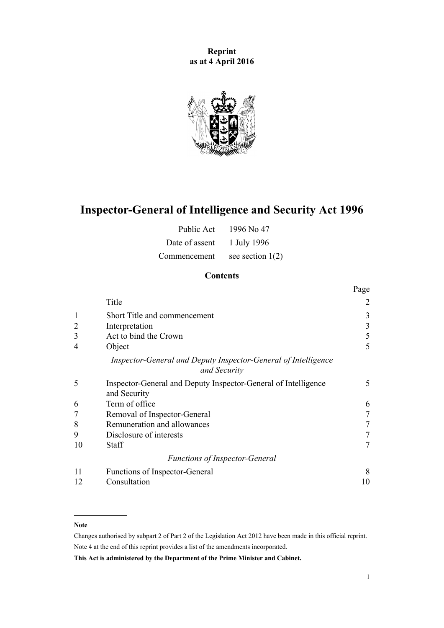**Reprint as at 4 April 2016**



# **Inspector-General of Intelligence and Security Act 1996**

| Public Act     | 1996 No 47         |
|----------------|--------------------|
| Date of assent | 1 July 1996        |
| Commencement   | see section $1(2)$ |

# **Contents**

|              |                                                                                | Page            |
|--------------|--------------------------------------------------------------------------------|-----------------|
|              | Title                                                                          | 2               |
| $\mathbf{1}$ | Short Title and commencement                                                   | 3               |
|              | Interpretation                                                                 | 3               |
| 3            | Act to bind the Crown                                                          | 5               |
| 4            | Object                                                                         | 5               |
|              | Inspector-General and Deputy Inspector-General of Intelligence<br>and Security |                 |
| 5            | Inspector-General and Deputy Inspector-General of Intelligence<br>and Security | 5               |
| 6            | Term of office                                                                 | 6               |
|              | Removal of Inspector-General                                                   |                 |
| 8            | Remuneration and allowances                                                    | $7\phantom{.0}$ |
| 9            | Disclosure of interests                                                        |                 |
| 10           | <b>Staff</b>                                                                   | 7               |
|              | <b>Functions of Inspector-General</b>                                          |                 |
| 11           | Functions of Inspector-General                                                 | 8               |
| 12           | Consultation                                                                   | 10              |

#### **Note**

Changes authorised by [subpart 2](http://prd-lgnz-nlb.prd.pco.net.nz/pdflink.aspx?id=DLM2998524) of Part 2 of the Legislation Act 2012 have been made in this official reprint. Note 4 at the end of this reprint provides a list of the amendments incorporated.

**This Act is administered by the Department of the Prime Minister and Cabinet.**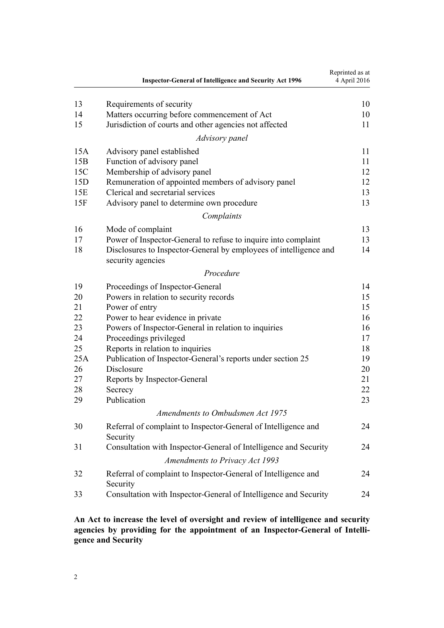<span id="page-1-0"></span>

|     | <b>Inspector-General of Intelligence and Security Act 1996</b>                         | Reprinted as at<br>4 April 2016 |
|-----|----------------------------------------------------------------------------------------|---------------------------------|
| 13  | Requirements of security                                                               | 10                              |
| 14  | Matters occurring before commencement of Act                                           | 10                              |
| 15  | Jurisdiction of courts and other agencies not affected                                 | 11                              |
|     | Advisory panel                                                                         |                                 |
| 15A | Advisory panel established                                                             | 11                              |
| 15B | Function of advisory panel                                                             | 11                              |
| 15C | Membership of advisory panel                                                           | 12                              |
| 15D | Remuneration of appointed members of advisory panel                                    | 12                              |
| 15E | Clerical and secretarial services                                                      | 13                              |
| 15F | Advisory panel to determine own procedure                                              | 13                              |
|     | Complaints                                                                             |                                 |
| 16  | Mode of complaint                                                                      | 13                              |
| 17  | Power of Inspector-General to refuse to inquire into complaint                         | 13                              |
| 18  | Disclosures to Inspector-General by employees of intelligence and<br>security agencies | 14                              |
|     | Procedure                                                                              |                                 |
| 19  | Proceedings of Inspector-General                                                       | 14                              |
| 20  | Powers in relation to security records                                                 | 15                              |
| 21  | Power of entry                                                                         | 15                              |
| 22  | Power to hear evidence in private                                                      | 16                              |
| 23  | Powers of Inspector-General in relation to inquiries                                   | 16                              |
| 24  | Proceedings privileged                                                                 | 17                              |
| 25  | Reports in relation to inquiries                                                       | 18                              |
| 25A | Publication of Inspector-General's reports under section 25                            | 19                              |
| 26  | Disclosure                                                                             | 20                              |
| 27  | Reports by Inspector-General                                                           | 21                              |
| 28  | Secrecy                                                                                | 22                              |
| 29  | Publication                                                                            | 23                              |
|     | Amendments to Ombudsmen Act 1975                                                       |                                 |
| 30  | Referral of complaint to Inspector-General of Intelligence and<br>Security             | 24                              |
| 31  | Consultation with Inspector-General of Intelligence and Security                       | 24                              |
|     | <b>Amendments to Privacy Act 1993</b>                                                  |                                 |
| 32  | Referral of complaint to Inspector-General of Intelligence and<br>Security             | 24                              |
| 33  | Consultation with Inspector-General of Intelligence and Security                       | 24                              |

# **An Act to increase the level of oversight and review of intelligence and security agencies by providing for the appointment of an Inspector-General of Intelligence and Security**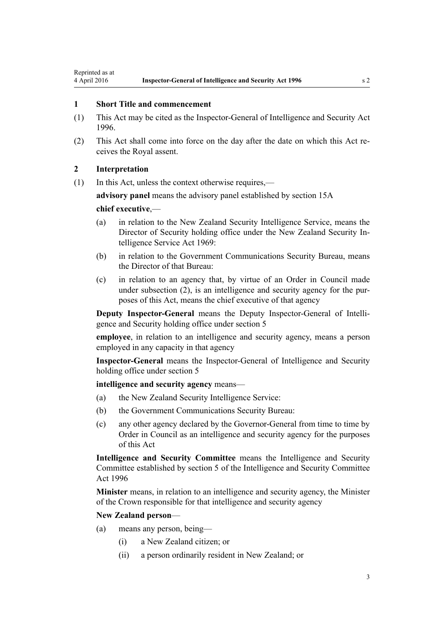## <span id="page-2-0"></span>**1 Short Title and commencement**

- (1) This Act may be cited as the Inspector-General of Intelligence and Security Act 1996.
- (2) This Act shall come into force on the day after the date on which this Act receives the Royal assent.

## **2 Interpretation**

(1) In this Act, unless the context otherwise requires,—

**advisory panel** means the advisory panel established by [section 15A](#page-10-0)

#### **chief executive**,—

- (a) in relation to the New Zealand Security Intelligence Service, means the Director of Security holding office under the [New Zealand Security In](http://prd-lgnz-nlb.prd.pco.net.nz/pdflink.aspx?id=DLM391605)[telligence Service Act 1969:](http://prd-lgnz-nlb.prd.pco.net.nz/pdflink.aspx?id=DLM391605)
- (b) in relation to the Government Communications Security Bureau, means the Director of that Bureau:
- (c) in relation to an agency that, by virtue of an Order in Council made under subsection (2), is an intelligence and security agency for the purposes of this Act, means the chief executive of that agency

**Deputy Inspector-General** means the Deputy Inspector-General of Intelligence and Security holding office under [section 5](#page-4-0)

**employee**, in relation to an intelligence and security agency, means a person employed in any capacity in that agency

**Inspector-General** means the Inspector-General of Intelligence and Security holding office under [section 5](#page-4-0)

#### **intelligence and security agency** means—

- (a) the New Zealand Security Intelligence Service:
- (b) the Government Communications Security Bureau:
- (c) any other agency declared by the Governor-General from time to time by Order in Council as an intelligence and security agency for the purposes of this Act

**Intelligence and Security Committee** means the Intelligence and Security Committee established by [section 5](http://prd-lgnz-nlb.prd.pco.net.nz/pdflink.aspx?id=DLM392266) of the Intelligence and Security Committee Act 1996

**Minister** means, in relation to an intelligence and security agency, the Minister of the Crown responsible for that intelligence and security agency

#### **New Zealand person**—

- (a) means any person, being—
	- (i) a New Zealand citizen; or
	- (ii) a person ordinarily resident in New Zealand; or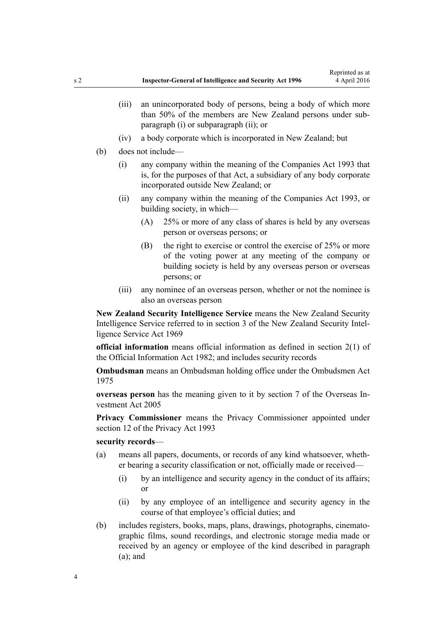- (iii) an unincorporated body of persons, being a body of which more than 50% of the members are New Zealand persons under subparagraph (i) or subparagraph (ii); or
- (iv) a body corporate which is incorporated in New Zealand; but
- (b) does not include—
	- (i) any company within the meaning of the [Companies Act 1993](http://prd-lgnz-nlb.prd.pco.net.nz/pdflink.aspx?id=DLM319569) that is, for the purposes of that Act, a subsidiary of any body corporate incorporated outside New Zealand; or
	- (ii) any company within the meaning of the [Companies Act 1993,](http://prd-lgnz-nlb.prd.pco.net.nz/pdflink.aspx?id=DLM319569) or building society, in which—
		- (A) 25% or more of any class of shares is held by any overseas person or overseas persons; or
		- (B) the right to exercise or control the exercise of 25% or more of the voting power at any meeting of the company or building society is held by any overseas person or overseas persons; or
	- (iii) any nominee of an overseas person, whether or not the nominee is also an overseas person

**New Zealand Security Intelligence Service** means the New Zealand Security Intelligence Service referred to in [section 3](http://prd-lgnz-nlb.prd.pco.net.nz/pdflink.aspx?id=DLM391803) of the New Zealand Security Intelligence Service Act 1969

**official information** means official information as defined in [section 2\(1\)](http://prd-lgnz-nlb.prd.pco.net.nz/pdflink.aspx?id=DLM65309) of the Official Information Act 1982; and includes security records

**Ombudsman** means an Ombudsman holding office under the [Ombudsmen Act](http://prd-lgnz-nlb.prd.pco.net.nz/pdflink.aspx?id=DLM430983) [1975](http://prd-lgnz-nlb.prd.pco.net.nz/pdflink.aspx?id=DLM430983)

**overseas person** has the meaning given to it by [section 7](http://prd-lgnz-nlb.prd.pco.net.nz/pdflink.aspx?id=DLM357794) of the Overseas Investment Act 2005

**Privacy Commissioner** means the Privacy Commissioner appointed under [section 12](http://prd-lgnz-nlb.prd.pco.net.nz/pdflink.aspx?id=DLM297053) of the Privacy Act 1993

#### **security records**—

- (a) means all papers, documents, or records of any kind whatsoever, whether bearing a security classification or not, officially made or received—
	- (i) by an intelligence and security agency in the conduct of its affairs; or
	- (ii) by any employee of an intelligence and security agency in the course of that employee's official duties; and
- (b) includes registers, books, maps, plans, drawings, photographs, cinematographic films, sound recordings, and electronic storage media made or received by an agency or employee of the kind described in paragraph  $(a)$ ; and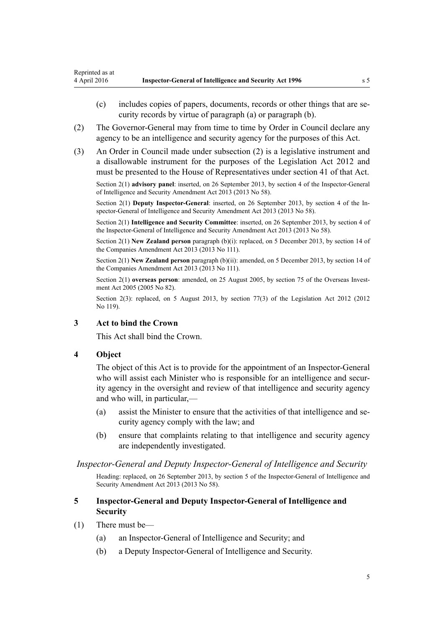- <span id="page-4-0"></span>(c) includes copies of papers, documents, records or other things that are security records by virtue of paragraph (a) or paragraph (b).
- (2) The Governor-General may from time to time by Order in Council declare any agency to be an intelligence and security agency for the purposes of this Act.
- (3) An Order in Council made under subsection (2) is a legislative instrument and a disallowable instrument for the purposes of the [Legislation Act 2012](http://prd-lgnz-nlb.prd.pco.net.nz/pdflink.aspx?id=DLM2997643) and must be presented to the House of Representatives under [section 41](http://prd-lgnz-nlb.prd.pco.net.nz/pdflink.aspx?id=DLM2998573) of that Act.

Section 2(1) **advisory panel**: inserted, on 26 September 2013, by [section 4](http://prd-lgnz-nlb.prd.pco.net.nz/pdflink.aspx?id=DLM5495909) of the Inspector-General of Intelligence and Security Amendment Act 2013 (2013 No 58).

Section 2(1) **Deputy Inspector-General**: inserted, on 26 September 2013, by [section 4](http://prd-lgnz-nlb.prd.pco.net.nz/pdflink.aspx?id=DLM5495909) of the Inspector-General of Intelligence and Security Amendment Act 2013 (2013 No 58).

Section 2(1) **Intelligence and Security Committee**: inserted, on 26 September 2013, by [section 4](http://prd-lgnz-nlb.prd.pco.net.nz/pdflink.aspx?id=DLM5495909) of the Inspector-General of Intelligence and Security Amendment Act 2013 (2013 No 58).

Section 2(1) **New Zealand person** paragraph (b)(i): replaced, on 5 December 2013, by [section 14](http://prd-lgnz-nlb.prd.pco.net.nz/pdflink.aspx?id=DLM5620822) of the Companies Amendment Act 2013 (2013 No 111).

Section 2(1) **New Zealand person** paragraph (b)(ii): amended, on 5 December 2013, by [section 14](http://prd-lgnz-nlb.prd.pco.net.nz/pdflink.aspx?id=DLM5620822) of the Companies Amendment Act 2013 (2013 No 111).

Section 2(1) **overseas person**: amended, on 25 August 2005, by [section 75](http://prd-lgnz-nlb.prd.pco.net.nz/pdflink.aspx?id=DLM358540) of the Overseas Investment Act 2005 (2005 No 82).

Section 2(3): replaced, on 5 August 2013, by [section 77\(3\)](http://prd-lgnz-nlb.prd.pco.net.nz/pdflink.aspx?id=DLM2998633) of the Legislation Act 2012 (2012) No 119).

# **3 Act to bind the Crown**

This Act shall bind the Crown.

## **4 Object**

The object of this Act is to provide for the appointment of an Inspector-General who will assist each Minister who is responsible for an intelligence and security agency in the oversight and review of that intelligence and security agency and who will, in particular,—

- (a) assist the Minister to ensure that the activities of that intelligence and security agency comply with the law; and
- (b) ensure that complaints relating to that intelligence and security agency are independently investigated.

## *Inspector-General and Deputy Inspector-General of Intelligence and Security*

Heading: replaced, on 26 September 2013, by [section 5](http://prd-lgnz-nlb.prd.pco.net.nz/pdflink.aspx?id=DLM5495916) of the Inspector-General of Intelligence and Security Amendment Act 2013 (2013 No 58).

# **5 Inspector-General and Deputy Inspector-General of Intelligence and Security**

- (1) There must be—
	- (a) an Inspector-General of Intelligence and Security; and
	- (b) a Deputy Inspector-General of Intelligence and Security.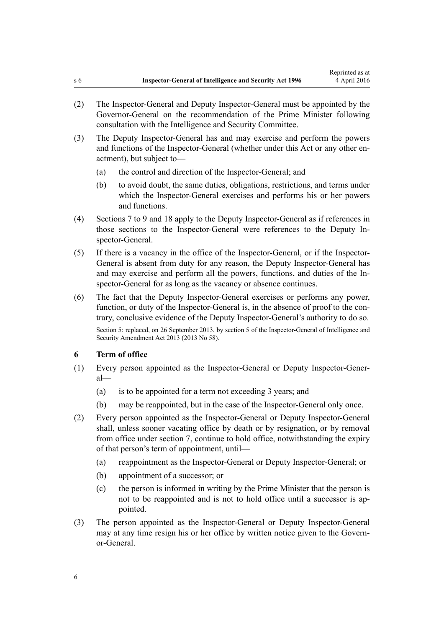- <span id="page-5-0"></span>(2) The Inspector-General and Deputy Inspector-General must be appointed by the Governor-General on the recommendation of the Prime Minister following consultation with the Intelligence and Security Committee.
- (3) The Deputy Inspector-General has and may exercise and perform the powers and functions of the Inspector-General (whether under this Act or any other enactment), but subject to—
	- (a) the control and direction of the Inspector-General; and
	- (b) to avoid doubt, the same duties, obligations, restrictions, and terms under which the Inspector-General exercises and performs his or her powers and functions.
- (4) [Sections 7 to 9](#page-6-0) and [18](#page-13-0) apply to the Deputy Inspector-General as if references in those sections to the Inspector-General were references to the Deputy Inspector-General.
- (5) If there is a vacancy in the office of the Inspector-General, or if the Inspector-General is absent from duty for any reason, the Deputy Inspector-General has and may exercise and perform all the powers, functions, and duties of the Inspector-General for as long as the vacancy or absence continues.
- (6) The fact that the Deputy Inspector-General exercises or performs any power, function, or duty of the Inspector-General is, in the absence of proof to the contrary, conclusive evidence of the Deputy Inspector-General's authority to do so.

Section 5: replaced, on 26 September 2013, by [section 5](http://prd-lgnz-nlb.prd.pco.net.nz/pdflink.aspx?id=DLM5495916) of the Inspector-General of Intelligence and Security Amendment Act 2013 (2013 No 58).

#### **6 Term of office**

- (1) Every person appointed as the Inspector-General or Deputy Inspector-General—
	- (a) is to be appointed for a term not exceeding 3 years; and
	- (b) may be reappointed, but in the case of the Inspector-General only once.
- (2) Every person appointed as the Inspector-General or Deputy Inspector-General shall, unless sooner vacating office by death or by resignation, or by removal from office under [section 7](#page-6-0), continue to hold office, notwithstanding the expiry of that person's term of appointment, until—
	- (a) reappointment as the Inspector-General or Deputy Inspector-General; or
	- (b) appointment of a successor; or
	- (c) the person is informed in writing by the Prime Minister that the person is not to be reappointed and is not to hold office until a successor is appointed.
- (3) The person appointed as the Inspector-General or Deputy Inspector-General may at any time resign his or her office by written notice given to the Governor-General.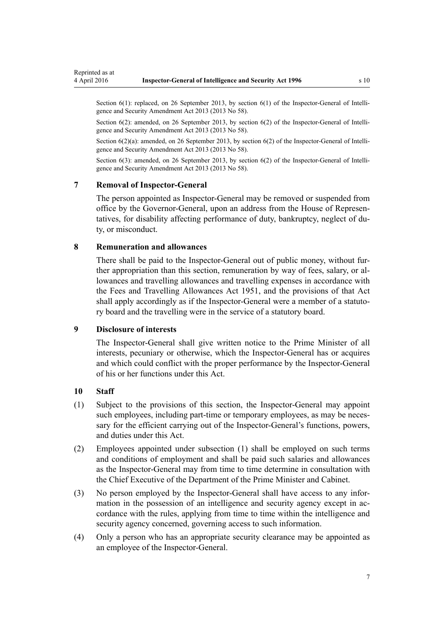<span id="page-6-0"></span>Section 6(1): replaced, on 26 September 2013, by [section 6\(1\)](http://prd-lgnz-nlb.prd.pco.net.nz/pdflink.aspx?id=DLM5495919) of the Inspector-General of Intelligence and Security Amendment Act 2013 (2013 No 58).

Section 6(2): amended, on 26 September 2013, by [section 6\(2\)](http://prd-lgnz-nlb.prd.pco.net.nz/pdflink.aspx?id=DLM5495919) of the Inspector-General of Intelligence and Security Amendment Act 2013 (2013 No 58).

Section  $6(2)(a)$ : amended, on 26 September 2013, by section  $6(2)$  of the Inspector-General of Intelligence and Security Amendment Act 2013 (2013 No 58).

Section 6(3): amended, on 26 September 2013, by [section 6\(2\)](http://prd-lgnz-nlb.prd.pco.net.nz/pdflink.aspx?id=DLM5495919) of the Inspector-General of Intelligence and Security Amendment Act 2013 (2013 No 58).

#### **7 Removal of Inspector-General**

The person appointed as Inspector-General may be removed or suspended from office by the Governor-General, upon an address from the House of Representatives, for disability affecting performance of duty, bankruptcy, neglect of duty, or misconduct.

#### **8 Remuneration and allowances**

There shall be paid to the Inspector-General out of public money, without further appropriation than this section, remuneration by way of fees, salary, or allowances and travelling allowances and travelling expenses in accordance with the [Fees and Travelling Allowances Act 1951,](http://prd-lgnz-nlb.prd.pco.net.nz/pdflink.aspx?id=DLM264952) and the provisions of that Act shall apply accordingly as if the Inspector-General were a member of a statutory board and the travelling were in the service of a statutory board.

#### **9 Disclosure of interests**

The Inspector-General shall give written notice to the Prime Minister of all interests, pecuniary or otherwise, which the Inspector-General has or acquires and which could conflict with the proper performance by the Inspector-General of his or her functions under this Act.

#### **10 Staff**

- (1) Subject to the provisions of this section, the Inspector-General may appoint such employees, including part-time or temporary employees, as may be necessary for the efficient carrying out of the Inspector-General's functions, powers, and duties under this Act.
- (2) Employees appointed under subsection (1) shall be employed on such terms and conditions of employment and shall be paid such salaries and allowances as the Inspector-General may from time to time determine in consultation with the Chief Executive of the Department of the Prime Minister and Cabinet.
- (3) No person employed by the Inspector-General shall have access to any information in the possession of an intelligence and security agency except in accordance with the rules, applying from time to time within the intelligence and security agency concerned, governing access to such information.
- (4) Only a person who has an appropriate security clearance may be appointed as an employee of the Inspector-General.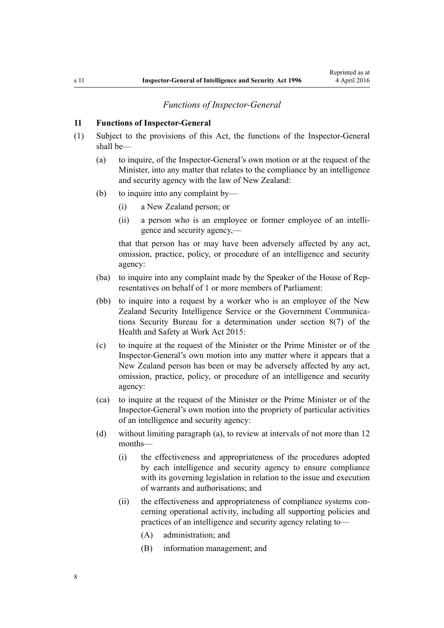#### *Functions of Inspector-General*

#### <span id="page-7-0"></span>**11 Functions of Inspector-General**

- (1) Subject to the provisions of this Act, the functions of the Inspector-General shall be—
	- (a) to inquire, of the Inspector-General's own motion or at the request of the Minister, into any matter that relates to the compliance by an intelligence and security agency with the law of New Zealand:
	- (b) to inquire into any complaint by—
		- (i) a New Zealand person; or
		- (ii) a person who is an employee or former employee of an intelligence and security agency,—

that that person has or may have been adversely affected by any act, omission, practice, policy, or procedure of an intelligence and security agency:

- (ba) to inquire into any complaint made by the Speaker of the House of Representatives on behalf of 1 or more members of Parliament:
- (bb) to inquire into a request by a worker who is an employee of the New Zealand Security Intelligence Service or the Government Communications Security Bureau for a determination under [section 8\(7\)](http://prd-lgnz-nlb.prd.pco.net.nz/pdflink.aspx?id=DLM6544104) of the Health and Safety at Work Act 2015:
- (c) to inquire at the request of the Minister or the Prime Minister or of the Inspector-General's own motion into any matter where it appears that a New Zealand person has been or may be adversely affected by any act, omission, practice, policy, or procedure of an intelligence and security agency:
- (ca) to inquire at the request of the Minister or the Prime Minister or of the Inspector-General's own motion into the propriety of particular activities of an intelligence and security agency:
- (d) without limiting paragraph (a), to review at intervals of not more than 12 months—
	- (i) the effectiveness and appropriateness of the procedures adopted by each intelligence and security agency to ensure compliance with its governing legislation in relation to the issue and execution of warrants and authorisations; and
	- (ii) the effectiveness and appropriateness of compliance systems concerning operational activity, including all supporting policies and practices of an intelligence and security agency relating to—
		- (A) administration; and
		- (B) information management; and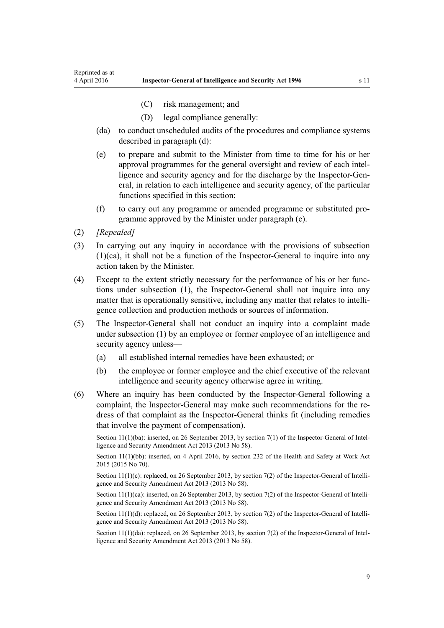- (C) risk management; and
- (D) legal compliance generally:
- (da) to conduct unscheduled audits of the procedures and compliance systems described in paragraph (d):
- (e) to prepare and submit to the Minister from time to time for his or her approval programmes for the general oversight and review of each intelligence and security agency and for the discharge by the Inspector-General, in relation to each intelligence and security agency, of the particular functions specified in this section:
- (f) to carry out any programme or amended programme or substituted programme approved by the Minister under paragraph (e).
- (2) *[Repealed]*
- (3) In carrying out any inquiry in accordance with the provisions of subsection (1)(ca), it shall not be a function of the Inspector-General to inquire into any action taken by the Minister.
- (4) Except to the extent strictly necessary for the performance of his or her functions under subsection (1), the Inspector-General shall not inquire into any matter that is operationally sensitive, including any matter that relates to intelligence collection and production methods or sources of information.
- (5) The Inspector-General shall not conduct an inquiry into a complaint made under subsection (1) by an employee or former employee of an intelligence and security agency unless—
	- (a) all established internal remedies have been exhausted; or
	- (b) the employee or former employee and the chief executive of the relevant intelligence and security agency otherwise agree in writing.
- (6) Where an inquiry has been conducted by the Inspector-General following a complaint, the Inspector-General may make such recommendations for the redress of that complaint as the Inspector-General thinks fit (including remedies that involve the payment of compensation).

Section 11(1)(ba): inserted, on 26 September 2013, by [section 7\(1\)](http://prd-lgnz-nlb.prd.pco.net.nz/pdflink.aspx?id=DLM5495920) of the Inspector-General of Intelligence and Security Amendment Act 2013 (2013 No 58).

Section 11(1)(bb): inserted, on 4 April 2016, by [section 232](http://prd-lgnz-nlb.prd.pco.net.nz/pdflink.aspx?id=DLM5977236) of the Health and Safety at Work Act 2015 (2015 No 70).

Section 11(1)(c): replaced, on 26 September 2013, by [section 7\(2\)](http://prd-lgnz-nlb.prd.pco.net.nz/pdflink.aspx?id=DLM5495920) of the Inspector-General of Intelligence and Security Amendment Act 2013 (2013 No 58).

Section 11(1)(ca): inserted, on 26 September 2013, by [section 7\(2\)](http://prd-lgnz-nlb.prd.pco.net.nz/pdflink.aspx?id=DLM5495920) of the Inspector-General of Intelligence and Security Amendment Act 2013 (2013 No 58).

Section 11(1)(d): replaced, on 26 September 2013, by [section 7\(2\)](http://prd-lgnz-nlb.prd.pco.net.nz/pdflink.aspx?id=DLM5495920) of the Inspector-General of Intelligence and Security Amendment Act 2013 (2013 No 58).

Section 11(1)(da): replaced, on 26 September 2013, by [section 7\(2\)](http://prd-lgnz-nlb.prd.pco.net.nz/pdflink.aspx?id=DLM5495920) of the Inspector-General of Intelligence and Security Amendment Act 2013 (2013 No 58).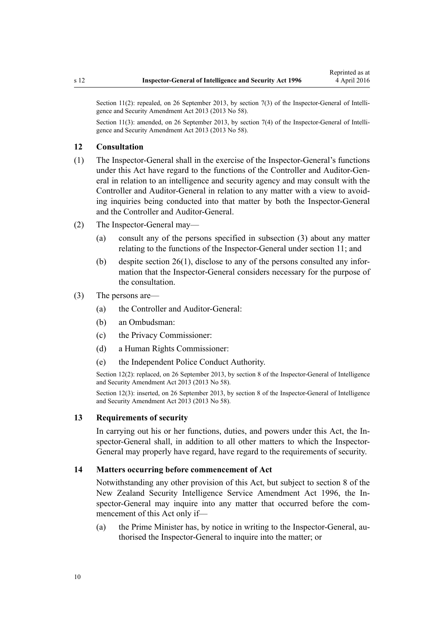<span id="page-9-0"></span>Section 11(2): repealed, on 26 September 2013, by [section 7\(3\)](http://prd-lgnz-nlb.prd.pco.net.nz/pdflink.aspx?id=DLM5495920) of the Inspector-General of Intelligence and Security Amendment Act 2013 (2013 No 58).

Section 11(3): amended, on 26 September 2013, by [section 7\(4\)](http://prd-lgnz-nlb.prd.pco.net.nz/pdflink.aspx?id=DLM5495920) of the Inspector-General of Intelligence and Security Amendment Act 2013 (2013 No 58).

#### **12 Consultation**

- (1) The Inspector-General shall in the exercise of the Inspector-General's functions under this Act have regard to the functions of the Controller and Auditor-General in relation to an intelligence and security agency and may consult with the Controller and Auditor-General in relation to any matter with a view to avoiding inquiries being conducted into that matter by both the Inspector-General and the Controller and Auditor-General.
- (2) The Inspector-General may—
	- (a) consult any of the persons specified in subsection (3) about any matter relating to the functions of the Inspector-General under [section 11](#page-7-0); and
	- (b) despite [section 26\(1\),](#page-19-0) disclose to any of the persons consulted any information that the Inspector-General considers necessary for the purpose of the consultation.

#### (3) The persons are—

- (a) the Controller and Auditor-General:
- (b) an Ombudsman:
- (c) the Privacy Commissioner:
- (d) a Human Rights Commissioner:
- (e) the Independent Police Conduct Authority.

Section 12(2): replaced, on 26 September 2013, by [section 8](http://prd-lgnz-nlb.prd.pco.net.nz/pdflink.aspx?id=DLM5495921) of the Inspector-General of Intelligence and Security Amendment Act 2013 (2013 No 58).

Section 12(3): inserted, on 26 September 2013, by [section 8](http://prd-lgnz-nlb.prd.pco.net.nz/pdflink.aspx?id=DLM5495921) of the Inspector-General of Intelligence and Security Amendment Act 2013 (2013 No 58).

#### **13 Requirements of security**

In carrying out his or her functions, duties, and powers under this Act, the Inspector-General shall, in addition to all other matters to which the Inspector-General may properly have regard, have regard to the requirements of security.

#### **14 Matters occurring before commencement of Act**

Notwithstanding any other provision of this Act, but subject to [section 8](http://prd-lgnz-nlb.prd.pco.net.nz/pdflink.aspx?id=DLM392574) of the New Zealand Security Intelligence Service Amendment Act 1996, the Inspector-General may inquire into any matter that occurred before the commencement of this Act only if—

(a) the Prime Minister has, by notice in writing to the Inspector-General, authorised the Inspector-General to inquire into the matter; or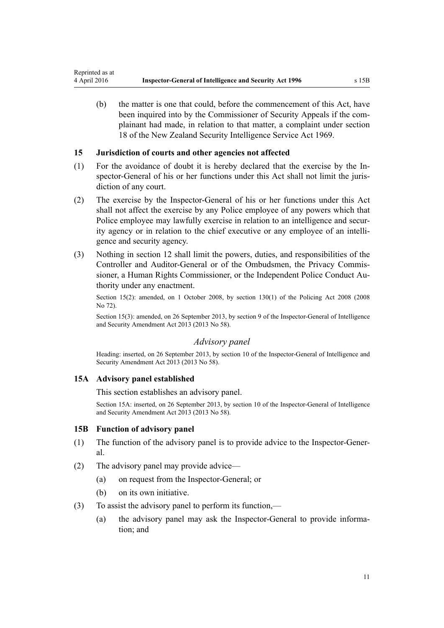<span id="page-10-0"></span>(b) the matter is one that could, before the commencement of this Act, have been inquired into by the Commissioner of Security Appeals if the complainant had made, in relation to that matter, a complaint under [section](http://prd-lgnz-nlb.prd.pco.net.nz/pdflink.aspx?id=DLM392033) [18](http://prd-lgnz-nlb.prd.pco.net.nz/pdflink.aspx?id=DLM392033) of the New Zealand Security Intelligence Service Act 1969.

# **15 Jurisdiction of courts and other agencies not affected**

- (1) For the avoidance of doubt it is hereby declared that the exercise by the Inspector-General of his or her functions under this Act shall not limit the jurisdiction of any court.
- (2) The exercise by the Inspector-General of his or her functions under this Act shall not affect the exercise by any Police employee of any powers which that Police employee may lawfully exercise in relation to an intelligence and security agency or in relation to the chief executive or any employee of an intelligence and security agency.
- (3) Nothing in [section 12](#page-9-0) shall limit the powers, duties, and responsibilities of the Controller and Auditor-General or of the Ombudsmen, the Privacy Commissioner, a Human Rights Commissioner, or the Independent Police Conduct Authority under any enactment.

Section 15(2): amended, on 1 October 2008, by [section 130\(1\)](http://prd-lgnz-nlb.prd.pco.net.nz/pdflink.aspx?id=DLM1102383) of the Policing Act 2008 (2008 No 72).

Section 15(3): amended, on 26 September 2013, by [section 9](http://prd-lgnz-nlb.prd.pco.net.nz/pdflink.aspx?id=DLM5495922) of the Inspector-General of Intelligence and Security Amendment Act 2013 (2013 No 58).

# *Advisory panel*

Heading: inserted, on 26 September 2013, by [section 10](http://prd-lgnz-nlb.prd.pco.net.nz/pdflink.aspx?id=DLM5495923) of the Inspector-General of Intelligence and Security Amendment Act 2013 (2013 No 58).

#### **15A Advisory panel established**

This section establishes an advisory panel.

Section 15A: inserted, on 26 September 2013, by [section 10](http://prd-lgnz-nlb.prd.pco.net.nz/pdflink.aspx?id=DLM5495923) of the Inspector-General of Intelligence and Security Amendment Act 2013 (2013 No 58).

#### **15B Function of advisory panel**

- (1) The function of the advisory panel is to provide advice to the Inspector-General.
- (2) The advisory panel may provide advice—
	- (a) on request from the Inspector-General; or
	- (b) on its own initiative.
- (3) To assist the advisory panel to perform its function,—
	- (a) the advisory panel may ask the Inspector-General to provide information; and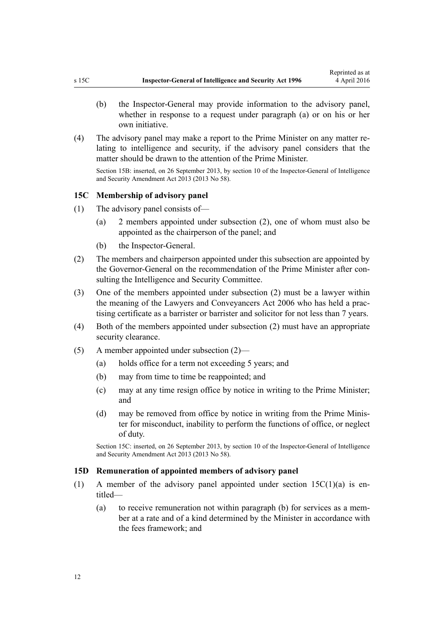- <span id="page-11-0"></span>(b) the Inspector-General may provide information to the advisory panel, whether in response to a request under paragraph (a) or on his or her own initiative.
- (4) The advisory panel may make a report to the Prime Minister on any matter relating to intelligence and security, if the advisory panel considers that the matter should be drawn to the attention of the Prime Minister.

Section 15B: inserted, on 26 September 2013, by [section 10](http://prd-lgnz-nlb.prd.pco.net.nz/pdflink.aspx?id=DLM5495923) of the Inspector-General of Intelligence and Security Amendment Act 2013 (2013 No 58).

#### **15C Membership of advisory panel**

- (1) The advisory panel consists of—
	- (a) 2 members appointed under subsection (2), one of whom must also be appointed as the chairperson of the panel; and
	- (b) the Inspector-General.
- (2) The members and chairperson appointed under this subsection are appointed by the Governor-General on the recommendation of the Prime Minister after consulting the Intelligence and Security Committee.
- (3) One of the members appointed under subsection (2) must be a lawyer within the meaning of the [Lawyers and Conveyancers Act 2006](http://prd-lgnz-nlb.prd.pco.net.nz/pdflink.aspx?id=DLM364938) who has held a practising certificate as a barrister or barrister and solicitor for not less than 7 years.
- (4) Both of the members appointed under subsection (2) must have an appropriate security clearance.
- (5) A member appointed under subsection (2)—
	- (a) holds office for a term not exceeding 5 years; and
	- (b) may from time to time be reappointed; and
	- (c) may at any time resign office by notice in writing to the Prime Minister; and
	- (d) may be removed from office by notice in writing from the Prime Minister for misconduct, inability to perform the functions of office, or neglect of duty.

Section 15C: inserted, on 26 September 2013, by [section 10](http://prd-lgnz-nlb.prd.pco.net.nz/pdflink.aspx?id=DLM5495923) of the Inspector-General of Intelligence and Security Amendment Act 2013 (2013 No 58).

#### **15D Remuneration of appointed members of advisory panel**

- (1) A member of the advisory panel appointed under section  $15C(1)(a)$  is entitled—
	- (a) to receive remuneration not within paragraph (b) for services as a member at a rate and of a kind determined by the Minister in accordance with the fees framework; and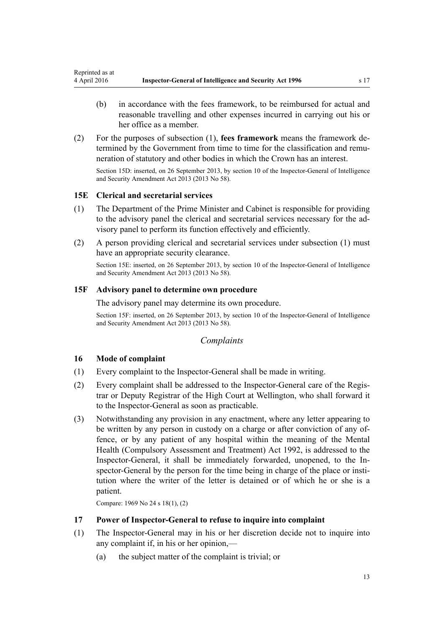- <span id="page-12-0"></span>(b) in accordance with the fees framework, to be reimbursed for actual and reasonable travelling and other expenses incurred in carrying out his or her office as a member.
- (2) For the purposes of subsection (1), **fees framework** means the framework determined by the Government from time to time for the classification and remuneration of statutory and other bodies in which the Crown has an interest. Section 15D: inserted, on 26 September 2013, by [section 10](http://prd-lgnz-nlb.prd.pco.net.nz/pdflink.aspx?id=DLM5495923) of the Inspector-General of Intelligence and Security Amendment Act 2013 (2013 No 58).

# **15E Clerical and secretarial services**

- (1) The Department of the Prime Minister and Cabinet is responsible for providing to the advisory panel the clerical and secretarial services necessary for the advisory panel to perform its function effectively and efficiently.
- (2) A person providing clerical and secretarial services under subsection (1) must have an appropriate security clearance.

Section 15E: inserted, on 26 September 2013, by [section 10](http://prd-lgnz-nlb.prd.pco.net.nz/pdflink.aspx?id=DLM5495923) of the Inspector-General of Intelligence and Security Amendment Act 2013 (2013 No 58).

## **15F Advisory panel to determine own procedure**

The advisory panel may determine its own procedure.

Section 15F: inserted, on 26 September 2013, by [section 10](http://prd-lgnz-nlb.prd.pco.net.nz/pdflink.aspx?id=DLM5495923) of the Inspector-General of Intelligence and Security Amendment Act 2013 (2013 No 58).

## *Complaints*

#### **16 Mode of complaint**

- (1) Every complaint to the Inspector-General shall be made in writing.
- (2) Every complaint shall be addressed to the Inspector-General care of the Registrar or Deputy Registrar of the High Court at Wellington, who shall forward it to the Inspector-General as soon as practicable.
- (3) Notwithstanding any provision in any enactment, where any letter appearing to be written by any person in custody on a charge or after conviction of any offence, or by any patient of any hospital within the meaning of the [Mental](http://prd-lgnz-nlb.prd.pco.net.nz/pdflink.aspx?id=DLM262706) [Health \(Compulsory Assessment and Treatment\) Act 1992](http://prd-lgnz-nlb.prd.pco.net.nz/pdflink.aspx?id=DLM262706), is addressed to the Inspector-General, it shall be immediately forwarded, unopened, to the Inspector-General by the person for the time being in charge of the place or institution where the writer of the letter is detained or of which he or she is a patient.

Compare: 1969 No 24 [s 18\(1\), \(2\)](http://prd-lgnz-nlb.prd.pco.net.nz/pdflink.aspx?id=DLM392033)

#### **17 Power of Inspector-General to refuse to inquire into complaint**

- (1) The Inspector-General may in his or her discretion decide not to inquire into any complaint if, in his or her opinion,—
	- (a) the subject matter of the complaint is trivial; or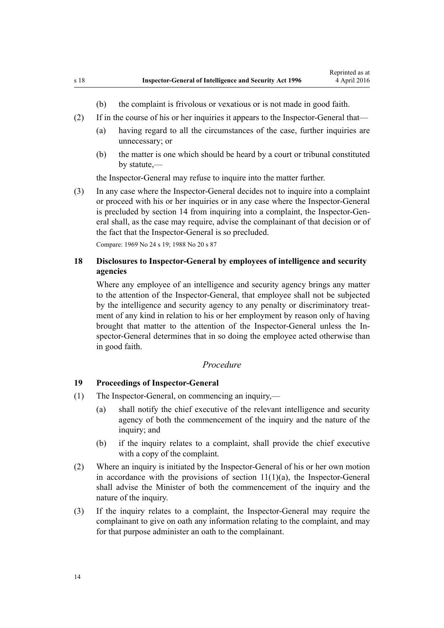- (b) the complaint is frivolous or vexatious or is not made in good faith.
- <span id="page-13-0"></span>(2) If in the course of his or her inquiries it appears to the Inspector-General that—
	- (a) having regard to all the circumstances of the case, further inquiries are unnecessary; or
	- (b) the matter is one which should be heard by a court or tribunal constituted by statute,—

the Inspector-General may refuse to inquire into the matter further.

(3) In any case where the Inspector-General decides not to inquire into a complaint or proceed with his or her inquiries or in any case where the Inspector-General is precluded by [section 14](#page-9-0) from inquiring into a complaint, the Inspector-General shall, as the case may require, advise the complainant of that decision or of the fact that the Inspector-General is so precluded.

Compare: 1969 No 24 [s 19](http://prd-lgnz-nlb.prd.pco.net.nz/pdflink.aspx?id=DLM392036); 1988 No 20 [s 87](http://prd-lgnz-nlb.prd.pco.net.nz/pdflink.aspx?id=DLM130374)

# **18 Disclosures to Inspector-General by employees of intelligence and security agencies**

Where any employee of an intelligence and security agency brings any matter to the attention of the Inspector-General, that employee shall not be subjected by the intelligence and security agency to any penalty or discriminatory treatment of any kind in relation to his or her employment by reason only of having brought that matter to the attention of the Inspector-General unless the Inspector-General determines that in so doing the employee acted otherwise than in good faith.

## *Procedure*

## **19 Proceedings of Inspector-General**

- (1) The Inspector-General, on commencing an inquiry,—
	- (a) shall notify the chief executive of the relevant intelligence and security agency of both the commencement of the inquiry and the nature of the inquiry; and
	- (b) if the inquiry relates to a complaint, shall provide the chief executive with a copy of the complaint.
- (2) Where an inquiry is initiated by the Inspector-General of his or her own motion in accordance with the provisions of section  $11(1)(a)$ , the Inspector-General shall advise the Minister of both the commencement of the inquiry and the nature of the inquiry.
- (3) If the inquiry relates to a complaint, the Inspector-General may require the complainant to give on oath any information relating to the complaint, and may for that purpose administer an oath to the complainant.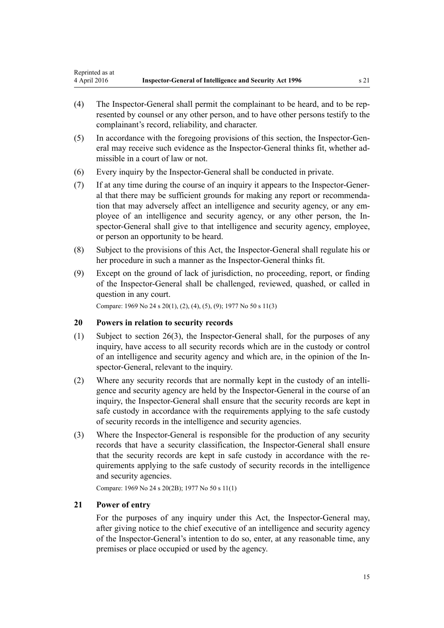- <span id="page-14-0"></span>(4) The Inspector-General shall permit the complainant to be heard, and to be represented by counsel or any other person, and to have other persons testify to the complainant's record, reliability, and character.
- (5) In accordance with the foregoing provisions of this section, the Inspector-General may receive such evidence as the Inspector-General thinks fit, whether admissible in a court of law or not.
- (6) Every inquiry by the Inspector-General shall be conducted in private.
- (7) If at any time during the course of an inquiry it appears to the Inspector-General that there may be sufficient grounds for making any report or recommendation that may adversely affect an intelligence and security agency, or any employee of an intelligence and security agency, or any other person, the Inspector-General shall give to that intelligence and security agency, employee, or person an opportunity to be heard.
- (8) Subject to the provisions of this Act, the Inspector-General shall regulate his or her procedure in such a manner as the Inspector-General thinks fit.
- (9) Except on the ground of lack of jurisdiction, no proceeding, report, or finding of the Inspector-General shall be challenged, reviewed, quashed, or called in question in any court.

Compare: 1969 No 24 [s 20\(1\), \(2\), \(4\), \(5\), \(9\);](http://prd-lgnz-nlb.prd.pco.net.nz/pdflink.aspx?id=DLM392040) 1977 No 50 s 11(3)

#### **20 Powers in relation to security records**

- (1) Subject to [section 26\(3\),](#page-19-0) the Inspector-General shall, for the purposes of any inquiry, have access to all security records which are in the custody or control of an intelligence and security agency and which are, in the opinion of the Inspector-General, relevant to the inquiry.
- (2) Where any security records that are normally kept in the custody of an intelligence and security agency are held by the Inspector-General in the course of an inquiry, the Inspector-General shall ensure that the security records are kept in safe custody in accordance with the requirements applying to the safe custody of security records in the intelligence and security agencies.
- (3) Where the Inspector-General is responsible for the production of any security records that have a security classification, the Inspector-General shall ensure that the security records are kept in safe custody in accordance with the requirements applying to the safe custody of security records in the intelligence and security agencies.

Compare: 1969 No 24 [s 20\(2B\);](http://prd-lgnz-nlb.prd.pco.net.nz/pdflink.aspx?id=DLM392040) 1977 No 50 s 11(1)

## **21 Power of entry**

For the purposes of any inquiry under this Act, the Inspector-General may, after giving notice to the chief executive of an intelligence and security agency of the Inspector-General's intention to do so, enter, at any reasonable time, any premises or place occupied or used by the agency.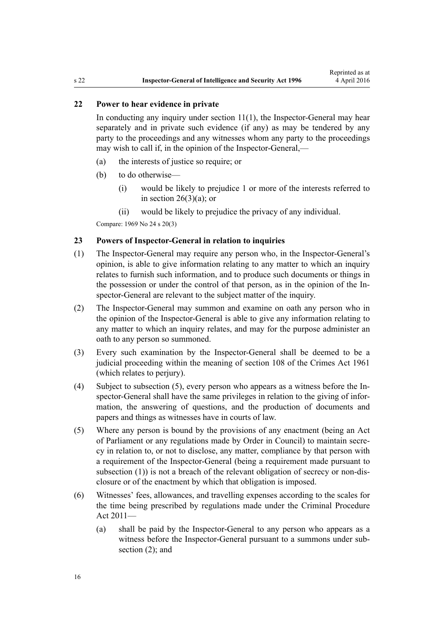# <span id="page-15-0"></span>**22 Power to hear evidence in private**

In conducting any inquiry under section  $11(1)$ , the Inspector-General may hear separately and in private such evidence (if any) as may be tendered by any party to the proceedings and any witnesses whom any party to the proceedings may wish to call if, in the opinion of the Inspector-General,—

- (a) the interests of justice so require; or
- (b) to do otherwise—
	- (i) would be likely to prejudice 1 or more of the interests referred to in section  $26(3)(a)$ ; or
	- (ii) would be likely to prejudice the privacy of any individual.

Compare: 1969 No 24 [s 20\(3\)](http://prd-lgnz-nlb.prd.pco.net.nz/pdflink.aspx?id=DLM392040)

## **23 Powers of Inspector-General in relation to inquiries**

- (1) The Inspector-General may require any person who, in the Inspector-General's opinion, is able to give information relating to any matter to which an inquiry relates to furnish such information, and to produce such documents or things in the possession or under the control of that person, as in the opinion of the Inspector-General are relevant to the subject matter of the inquiry.
- (2) The Inspector-General may summon and examine on oath any person who in the opinion of the Inspector-General is able to give any information relating to any matter to which an inquiry relates, and may for the purpose administer an oath to any person so summoned.
- (3) Every such examination by the Inspector-General shall be deemed to be a judicial proceeding within the meaning of [section 108](http://prd-lgnz-nlb.prd.pco.net.nz/pdflink.aspx?id=DLM328793) of the Crimes Act 1961 (which relates to perjury).
- (4) Subject to subsection (5), every person who appears as a witness before the Inspector-General shall have the same privileges in relation to the giving of information, the answering of questions, and the production of documents and papers and things as witnesses have in courts of law.
- (5) Where any person is bound by the provisions of any enactment (being an Act of Parliament or any regulations made by Order in Council) to maintain secrecy in relation to, or not to disclose, any matter, compliance by that person with a requirement of the Inspector-General (being a requirement made pursuant to subsection (1)) is not a breach of the relevant obligation of secrecy or non-disclosure or of the enactment by which that obligation is imposed.
- (6) Witnesses' fees, allowances, and travelling expenses according to the scales for the time being prescribed by regulations made under the [Criminal Procedure](http://prd-lgnz-nlb.prd.pco.net.nz/pdflink.aspx?id=DLM3359902) [Act 2011](http://prd-lgnz-nlb.prd.pco.net.nz/pdflink.aspx?id=DLM3359902)—
	- (a) shall be paid by the Inspector-General to any person who appears as a witness before the Inspector-General pursuant to a summons under subsection (2); and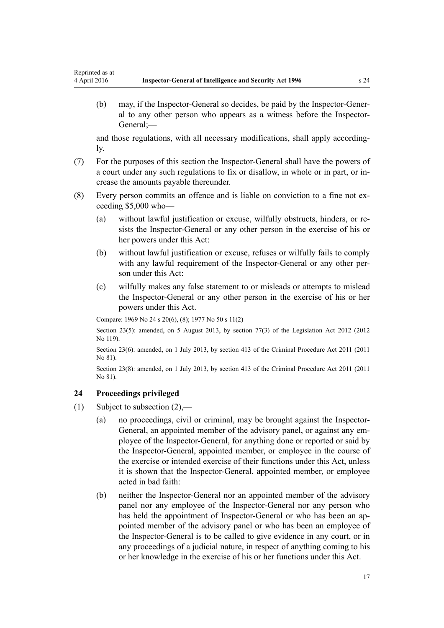<span id="page-16-0"></span>(b) may, if the Inspector-General so decides, be paid by the Inspector-General to any other person who appears as a witness before the Inspector-General;—

and those regulations, with all necessary modifications, shall apply accordingly.

- (7) For the purposes of this section the Inspector-General shall have the powers of a court under any such regulations to fix or disallow, in whole or in part, or increase the amounts payable thereunder.
- (8) Every person commits an offence and is liable on conviction to a fine not exceeding \$5,000 who—
	- (a) without lawful justification or excuse, wilfully obstructs, hinders, or resists the Inspector-General or any other person in the exercise of his or her powers under this Act:
	- (b) without lawful justification or excuse, refuses or wilfully fails to comply with any lawful requirement of the Inspector-General or any other person under this Act:
	- (c) wilfully makes any false statement to or misleads or attempts to mislead the Inspector-General or any other person in the exercise of his or her powers under this Act.

Compare: 1969 No 24 [s 20\(6\), \(8\);](http://prd-lgnz-nlb.prd.pco.net.nz/pdflink.aspx?id=DLM392040) 1977 No 50 s 11(2)

Section 23(5): amended, on 5 August 2013, by [section 77\(3\)](http://prd-lgnz-nlb.prd.pco.net.nz/pdflink.aspx?id=DLM2998633) of the Legislation Act 2012 (2012 No 119).

Section 23(6): amended, on 1 July 2013, by [section 413](http://prd-lgnz-nlb.prd.pco.net.nz/pdflink.aspx?id=DLM3360714) of the Criminal Procedure Act 2011 (2011) No 81).

Section 23(8): amended, on 1 July 2013, by [section 413](http://prd-lgnz-nlb.prd.pco.net.nz/pdflink.aspx?id=DLM3360714) of the Criminal Procedure Act 2011 (2011 No 81).

#### **24 Proceedings privileged**

- (1) Subject to subsection (2),—
	- (a) no proceedings, civil or criminal, may be brought against the Inspector-General, an appointed member of the advisory panel, or against any employee of the Inspector-General, for anything done or reported or said by the Inspector-General, appointed member, or employee in the course of the exercise or intended exercise of their functions under this Act, unless it is shown that the Inspector-General, appointed member, or employee acted in bad faith:
	- (b) neither the Inspector-General nor an appointed member of the advisory panel nor any employee of the Inspector-General nor any person who has held the appointment of Inspector-General or who has been an appointed member of the advisory panel or who has been an employee of the Inspector-General is to be called to give evidence in any court, or in any proceedings of a judicial nature, in respect of anything coming to his or her knowledge in the exercise of his or her functions under this Act.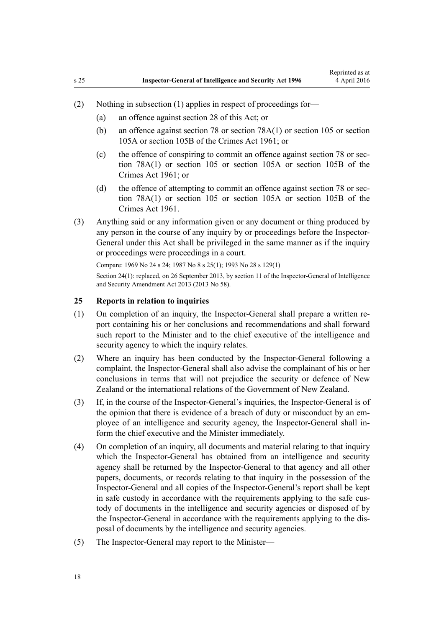- <span id="page-17-0"></span>(2) Nothing in subsection (1) applies in respect of proceedings for—
	- (a) an offence against [section 28](#page-21-0) of this Act; or
	- (b) an offence against [section 78](http://prd-lgnz-nlb.prd.pco.net.nz/pdflink.aspx?id=DLM328526) or [section 78A\(1\)](http://prd-lgnz-nlb.prd.pco.net.nz/pdflink.aspx?id=DLM328528) or [section 105](http://prd-lgnz-nlb.prd.pco.net.nz/pdflink.aspx?id=DLM328753) or [section](http://prd-lgnz-nlb.prd.pco.net.nz/pdflink.aspx?id=DLM328755) [105A](http://prd-lgnz-nlb.prd.pco.net.nz/pdflink.aspx?id=DLM328755) or [section 105B](http://prd-lgnz-nlb.prd.pco.net.nz/pdflink.aspx?id=DLM328758) of the Crimes Act 1961; or
	- (c) the offence of conspiring to commit an offence against [section 78](http://prd-lgnz-nlb.prd.pco.net.nz/pdflink.aspx?id=DLM328526) or [sec](http://prd-lgnz-nlb.prd.pco.net.nz/pdflink.aspx?id=DLM328528)[tion 78A\(1\)](http://prd-lgnz-nlb.prd.pco.net.nz/pdflink.aspx?id=DLM328528) or [section 105](http://prd-lgnz-nlb.prd.pco.net.nz/pdflink.aspx?id=DLM328753) or [section 105A](http://prd-lgnz-nlb.prd.pco.net.nz/pdflink.aspx?id=DLM328755) or [section 105B](http://prd-lgnz-nlb.prd.pco.net.nz/pdflink.aspx?id=DLM328758) of the Crimes Act 1961; or
	- (d) the offence of attempting to commit an offence against [section 78](http://prd-lgnz-nlb.prd.pco.net.nz/pdflink.aspx?id=DLM328526) or [sec](http://prd-lgnz-nlb.prd.pco.net.nz/pdflink.aspx?id=DLM328528)[tion 78A\(1\)](http://prd-lgnz-nlb.prd.pco.net.nz/pdflink.aspx?id=DLM328528) or [section 105](http://prd-lgnz-nlb.prd.pco.net.nz/pdflink.aspx?id=DLM328753) or [section 105A](http://prd-lgnz-nlb.prd.pco.net.nz/pdflink.aspx?id=DLM328755) or [section 105B](http://prd-lgnz-nlb.prd.pco.net.nz/pdflink.aspx?id=DLM328758) of the Crimes Act 1961.
- (3) Anything said or any information given or any document or thing produced by any person in the course of any inquiry by or proceedings before the Inspector-General under this Act shall be privileged in the same manner as if the inquiry or proceedings were proceedings in a court.

Compare: 1969 No 24 [s 24](http://prd-lgnz-nlb.prd.pco.net.nz/pdflink.aspx?id=DLM392056); 1987 No 8 [s 25\(1\);](http://prd-lgnz-nlb.prd.pco.net.nz/pdflink.aspx?id=DLM101353) 1993 No 28 [s 129\(1\)](http://prd-lgnz-nlb.prd.pco.net.nz/pdflink.aspx?id=DLM298439)

Section 24(1): replaced, on 26 September 2013, by [section 11](http://prd-lgnz-nlb.prd.pco.net.nz/pdflink.aspx?id=DLM5495932) of the Inspector-General of Intelligence and Security Amendment Act 2013 (2013 No 58).

#### **25 Reports in relation to inquiries**

- (1) On completion of an inquiry, the Inspector-General shall prepare a written report containing his or her conclusions and recommendations and shall forward such report to the Minister and to the chief executive of the intelligence and security agency to which the inquiry relates.
- (2) Where an inquiry has been conducted by the Inspector-General following a complaint, the Inspector-General shall also advise the complainant of his or her conclusions in terms that will not prejudice the security or defence of New Zealand or the international relations of the Government of New Zealand.
- (3) If, in the course of the Inspector-General's inquiries, the Inspector-General is of the opinion that there is evidence of a breach of duty or misconduct by an employee of an intelligence and security agency, the Inspector-General shall inform the chief executive and the Minister immediately.
- (4) On completion of an inquiry, all documents and material relating to that inquiry which the Inspector-General has obtained from an intelligence and security agency shall be returned by the Inspector-General to that agency and all other papers, documents, or records relating to that inquiry in the possession of the Inspector-General and all copies of the Inspector-General's report shall be kept in safe custody in accordance with the requirements applying to the safe custody of documents in the intelligence and security agencies or disposed of by the Inspector-General in accordance with the requirements applying to the disposal of documents by the intelligence and security agencies.
- (5) The Inspector-General may report to the Minister—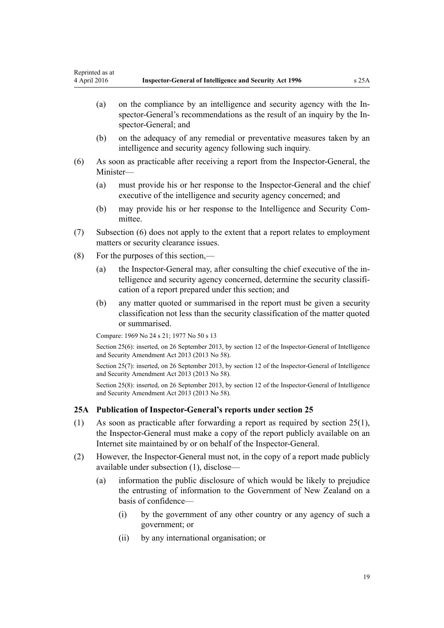- <span id="page-18-0"></span>(a) on the compliance by an intelligence and security agency with the Inspector-General's recommendations as the result of an inquiry by the Inspector-General; and
- (b) on the adequacy of any remedial or preventative measures taken by an intelligence and security agency following such inquiry.
- (6) As soon as practicable after receiving a report from the Inspector-General, the Minister—
	- (a) must provide his or her response to the Inspector-General and the chief executive of the intelligence and security agency concerned; and
	- (b) may provide his or her response to the Intelligence and Security Committee.
- (7) Subsection (6) does not apply to the extent that a report relates to employment matters or security clearance issues.
- (8) For the purposes of this section,—
	- (a) the Inspector-General may, after consulting the chief executive of the intelligence and security agency concerned, determine the security classification of a report prepared under this section; and
	- (b) any matter quoted or summarised in the report must be given a security classification not less than the security classification of the matter quoted or summarised.

Compare: 1969 No 24 [s 21](http://prd-lgnz-nlb.prd.pco.net.nz/pdflink.aspx?id=DLM392048); 1977 No 50 s 13

Section 25(6): inserted, on 26 September 2013, by [section 12](http://prd-lgnz-nlb.prd.pco.net.nz/pdflink.aspx?id=DLM5495933) of the Inspector-General of Intelligence and Security Amendment Act 2013 (2013 No 58).

Section 25(7): inserted, on 26 September 2013, by [section 12](http://prd-lgnz-nlb.prd.pco.net.nz/pdflink.aspx?id=DLM5495933) of the Inspector-General of Intelligence and Security Amendment Act 2013 (2013 No 58).

Section 25(8): inserted, on 26 September 2013, by [section 12](http://prd-lgnz-nlb.prd.pco.net.nz/pdflink.aspx?id=DLM5495933) of the Inspector-General of Intelligence and Security Amendment Act 2013 (2013 No 58).

# **25A Publication of Inspector-General's reports under section 25**

- (1) As soon as practicable after forwarding a report as required by [section 25\(1\)](#page-17-0), the Inspector-General must make a copy of the report publicly available on an Internet site maintained by or on behalf of the Inspector-General.
- (2) However, the Inspector-General must not, in the copy of a report made publicly available under subsection (1), disclose—
	- (a) information the public disclosure of which would be likely to prejudice the entrusting of information to the Government of New Zealand on a basis of confidence—
		- (i) by the government of any other country or any agency of such a government; or
		- (ii) by any international organisation; or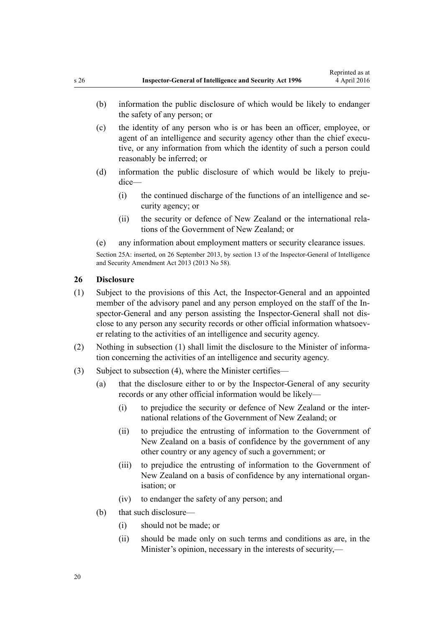- <span id="page-19-0"></span>(b) information the public disclosure of which would be likely to endanger the safety of any person; or
- (c) the identity of any person who is or has been an officer, employee, or agent of an intelligence and security agency other than the chief executive, or any information from which the identity of such a person could reasonably be inferred; or
- (d) information the public disclosure of which would be likely to prejudice—
	- (i) the continued discharge of the functions of an intelligence and security agency; or
	- (ii) the security or defence of New Zealand or the international relations of the Government of New Zealand; or
- (e) any information about employment matters or security clearance issues.

Section 25A: inserted, on 26 September 2013, by [section 13](http://prd-lgnz-nlb.prd.pco.net.nz/pdflink.aspx?id=DLM5495934) of the Inspector-General of Intelligence and Security Amendment Act 2013 (2013 No 58).

#### **26 Disclosure**

- (1) Subject to the provisions of this Act, the Inspector-General and an appointed member of the advisory panel and any person employed on the staff of the Inspector-General and any person assisting the Inspector-General shall not disclose to any person any security records or other official information whatsoever relating to the activities of an intelligence and security agency.
- (2) Nothing in subsection (1) shall limit the disclosure to the Minister of information concerning the activities of an intelligence and security agency.
- (3) Subject to subsection (4), where the Minister certifies—
	- (a) that the disclosure either to or by the Inspector-General of any security records or any other official information would be likely—
		- (i) to prejudice the security or defence of New Zealand or the international relations of the Government of New Zealand; or
		- (ii) to prejudice the entrusting of information to the Government of New Zealand on a basis of confidence by the government of any other country or any agency of such a government; or
		- (iii) to prejudice the entrusting of information to the Government of New Zealand on a basis of confidence by any international organisation; or
		- (iv) to endanger the safety of any person; and
	- (b) that such disclosure—
		- (i) should not be made; or
		- (ii) should be made only on such terms and conditions as are, in the Minister's opinion, necessary in the interests of security,—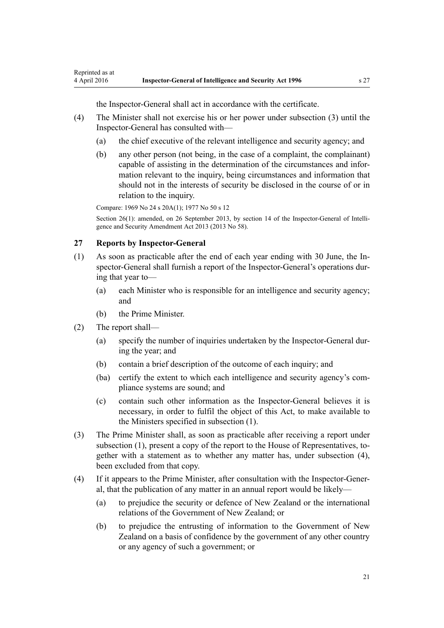the Inspector-General shall act in accordance with the certificate.

- <span id="page-20-0"></span>(4) The Minister shall not exercise his or her power under subsection (3) until the Inspector-General has consulted with—
	- (a) the chief executive of the relevant intelligence and security agency; and
	- (b) any other person (not being, in the case of a complaint, the complainant) capable of assisting in the determination of the circumstances and information relevant to the inquiry, being circumstances and information that should not in the interests of security be disclosed in the course of or in relation to the inquiry.

Compare: 1969 No 24 [s 20A\(1\)](http://prd-lgnz-nlb.prd.pco.net.nz/pdflink.aspx?id=DLM392045); 1977 No 50 s 12

Section 26(1): amended, on 26 September 2013, by [section 14](http://prd-lgnz-nlb.prd.pco.net.nz/pdflink.aspx?id=DLM5495936) of the Inspector-General of Intelligence and Security Amendment Act 2013 (2013 No 58).

# **27 Reports by Inspector-General**

- (1) As soon as practicable after the end of each year ending with 30 June, the Inspector-General shall furnish a report of the Inspector-General's operations during that year to—
	- (a) each Minister who is responsible for an intelligence and security agency; and
	- (b) the Prime Minister.
- (2) The report shall—
	- (a) specify the number of inquiries undertaken by the Inspector-General during the year; and
	- (b) contain a brief description of the outcome of each inquiry; and
	- (ba) certify the extent to which each intelligence and security agency's compliance systems are sound; and
	- (c) contain such other information as the Inspector-General believes it is necessary, in order to fulfil the object of this Act, to make available to the Ministers specified in subsection (1).
- (3) The Prime Minister shall, as soon as practicable after receiving a report under subsection (1), present a copy of the report to the House of Representatives, together with a statement as to whether any matter has, under subsection (4), been excluded from that copy.
- (4) If it appears to the Prime Minister, after consultation with the Inspector-General, that the publication of any matter in an annual report would be likely—
	- (a) to prejudice the security or defence of New Zealand or the international relations of the Government of New Zealand; or
	- (b) to prejudice the entrusting of information to the Government of New Zealand on a basis of confidence by the government of any other country or any agency of such a government; or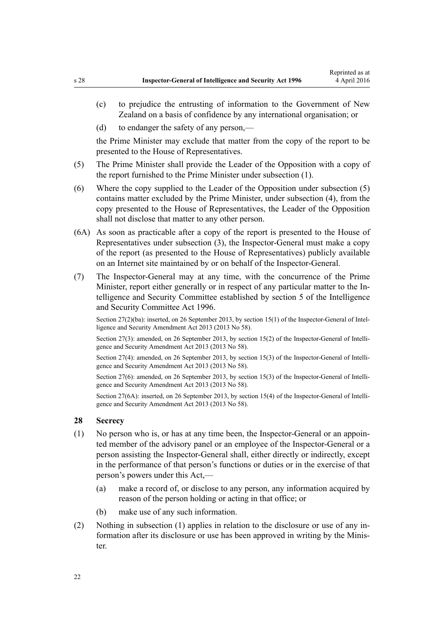- <span id="page-21-0"></span>(c) to prejudice the entrusting of information to the Government of New Zealand on a basis of confidence by any international organisation; or
- (d) to endanger the safety of any person,—

the Prime Minister may exclude that matter from the copy of the report to be presented to the House of Representatives.

- (5) The Prime Minister shall provide the Leader of the Opposition with a copy of the report furnished to the Prime Minister under subsection (1).
- (6) Where the copy supplied to the Leader of the Opposition under subsection (5) contains matter excluded by the Prime Minister, under subsection (4), from the copy presented to the House of Representatives, the Leader of the Opposition shall not disclose that matter to any other person.
- (6A) As soon as practicable after a copy of the report is presented to the House of Representatives under subsection (3), the Inspector-General must make a copy of the report (as presented to the House of Representatives) publicly available on an Internet site maintained by or on behalf of the Inspector-General.
- (7) The Inspector-General may at any time, with the concurrence of the Prime Minister, report either generally or in respect of any particular matter to the Intelligence and Security Committee established by [section 5](http://prd-lgnz-nlb.prd.pco.net.nz/pdflink.aspx?id=DLM392266) of the Intelligence and Security Committee Act 1996.

Section 27(2)(ba): inserted, on 26 September 2013, by [section 15\(1\)](http://prd-lgnz-nlb.prd.pco.net.nz/pdflink.aspx?id=DLM5495937) of the Inspector-General of Intelligence and Security Amendment Act 2013 (2013 No 58).

Section 27(3): amended, on 26 September 2013, by [section 15\(2\)](http://prd-lgnz-nlb.prd.pco.net.nz/pdflink.aspx?id=DLM5495937) of the Inspector-General of Intelligence and Security Amendment Act 2013 (2013 No 58).

Section 27(4): amended, on 26 September 2013, by [section 15\(3\)](http://prd-lgnz-nlb.prd.pco.net.nz/pdflink.aspx?id=DLM5495937) of the Inspector-General of Intelligence and Security Amendment Act 2013 (2013 No 58).

Section 27(6): amended, on 26 September 2013, by [section 15\(3\)](http://prd-lgnz-nlb.prd.pco.net.nz/pdflink.aspx?id=DLM5495937) of the Inspector-General of Intelligence and Security Amendment Act 2013 (2013 No 58).

Section 27(6A): inserted, on 26 September 2013, by [section 15\(4\)](http://prd-lgnz-nlb.prd.pco.net.nz/pdflink.aspx?id=DLM5495937) of the Inspector-General of Intelligence and Security Amendment Act 2013 (2013 No 58).

## **28 Secrecy**

- (1) No person who is, or has at any time been, the Inspector-General or an appointed member of the advisory panel or an employee of the Inspector-General or a person assisting the Inspector-General shall, either directly or indirectly, except in the performance of that person's functions or duties or in the exercise of that person's powers under this Act,—
	- (a) make a record of, or disclose to any person, any information acquired by reason of the person holding or acting in that office; or
	- (b) make use of any such information.
- (2) Nothing in subsection (1) applies in relation to the disclosure or use of any information after its disclosure or use has been approved in writing by the Minister.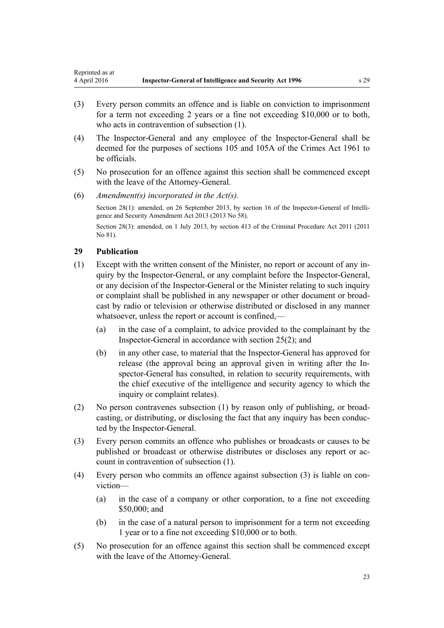- <span id="page-22-0"></span>(3) Every person commits an offence and is liable on conviction to imprisonment for a term not exceeding 2 years or a fine not exceeding \$10,000 or to both, who acts in contravention of subsection (1).
- (4) The Inspector-General and any employee of the Inspector-General shall be deemed for the purposes of [sections 105](http://prd-lgnz-nlb.prd.pco.net.nz/pdflink.aspx?id=DLM328753) and [105A](http://prd-lgnz-nlb.prd.pco.net.nz/pdflink.aspx?id=DLM328755) of the Crimes Act 1961 to be officials.
- (5) No prosecution for an offence against this section shall be commenced except with the leave of the Attorney-General.
- (6) *Amendment(s) incorporated in the [Act\(s\).](http://prd-lgnz-nlb.prd.pco.net.nz/pdflink.aspx?id=DLM311185)*

Section 28(1): amended, on 26 September 2013, by [section 16](http://prd-lgnz-nlb.prd.pco.net.nz/pdflink.aspx?id=DLM5495938) of the Inspector-General of Intelligence and Security Amendment Act 2013 (2013 No 58).

Section 28(3): amended, on 1 July 2013, by [section 413](http://prd-lgnz-nlb.prd.pco.net.nz/pdflink.aspx?id=DLM3360714) of the Criminal Procedure Act 2011 (2011) No 81).

## **29 Publication**

- (1) Except with the written consent of the Minister, no report or account of any inquiry by the Inspector-General, or any complaint before the Inspector-General, or any decision of the Inspector-General or the Minister relating to such inquiry or complaint shall be published in any newspaper or other document or broadcast by radio or television or otherwise distributed or disclosed in any manner whatsoever, unless the report or account is confined.—
	- (a) in the case of a complaint, to advice provided to the complainant by the Inspector-General in accordance with [section 25\(2\);](#page-17-0) and
	- (b) in any other case, to material that the Inspector-General has approved for release (the approval being an approval given in writing after the Inspector-General has consulted, in relation to security requirements, with the chief executive of the intelligence and security agency to which the inquiry or complaint relates).
- (2) No person contravenes subsection (1) by reason only of publishing, or broadcasting, or distributing, or disclosing the fact that any inquiry has been conducted by the Inspector-General.
- (3) Every person commits an offence who publishes or broadcasts or causes to be published or broadcast or otherwise distributes or discloses any report or account in contravention of subsection (1).
- (4) Every person who commits an offence against subsection (3) is liable on conviction—
	- (a) in the case of a company or other corporation, to a fine not exceeding \$50,000; and
	- (b) in the case of a natural person to imprisonment for a term not exceeding 1 year or to a fine not exceeding \$10,000 or to both.
- (5) No prosecution for an offence against this section shall be commenced except with the leave of the Attorney-General.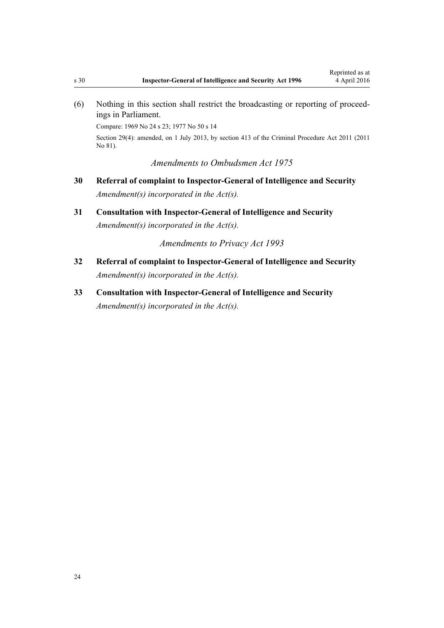<span id="page-23-0"></span>(6) Nothing in this section shall restrict the broadcasting or reporting of proceedings in Parliament.

Compare: 1969 No 24 [s 23](http://prd-lgnz-nlb.prd.pco.net.nz/pdflink.aspx?id=DLM392053); 1977 No 50 s 14

Section 29(4): amended, on 1 July 2013, by [section 413](http://prd-lgnz-nlb.prd.pco.net.nz/pdflink.aspx?id=DLM3360714) of the Criminal Procedure Act 2011 (2011 No 81).

*Amendments to Ombudsmen Act 1975*

- **30 Referral of complaint to Inspector-General of Intelligence and Security** *Amendment(s) incorporated in the [Act\(s\).](http://prd-lgnz-nlb.prd.pco.net.nz/pdflink.aspx?id=DLM430983)*
- **31 Consultation with Inspector-General of Intelligence and Security** *Amendment(s) incorporated in the [Act\(s\).](http://prd-lgnz-nlb.prd.pco.net.nz/pdflink.aspx?id=DLM430983)*

*Amendments to Privacy Act 1993*

- **32 Referral of complaint to Inspector-General of Intelligence and Security** *Amendment(s) incorporated in the [Act\(s\).](http://prd-lgnz-nlb.prd.pco.net.nz/pdflink.aspx?id=DLM297450)*
- **33 Consultation with Inspector-General of Intelligence and Security** *Amendment(s) incorporated in the [Act\(s\).](http://prd-lgnz-nlb.prd.pco.net.nz/pdflink.aspx?id=DLM298415)*